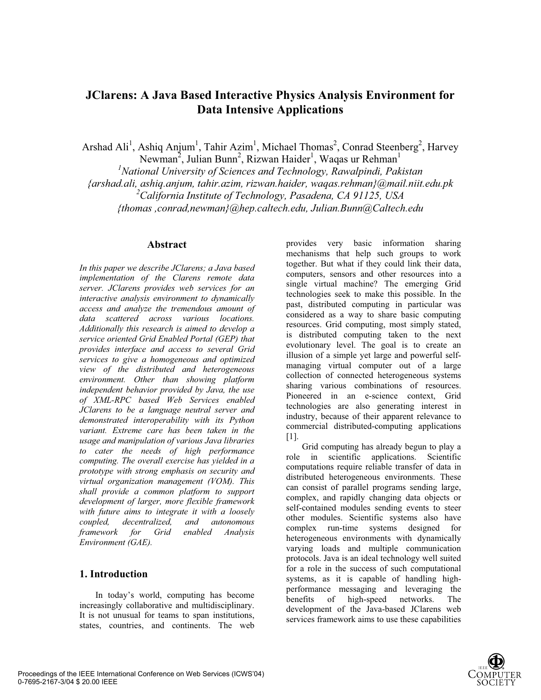# **JClarens: A Java Based Interactive Physics Analysis Environment for Data Intensive Applications**

Arshad Ali<sup>1</sup>, Ashiq Anjum<sup>1</sup>, Tahir Azim<sup>1</sup>, Michael Thomas<sup>2</sup>, Conrad Steenberg<sup>2</sup>, Harvey

Newman<sup>2</sup>, Julian Bunn<sup>2</sup>, Rizwan Haider<sup>1</sup>, Waqas ur Rehman<sup>1</sup>

*1 National University of Sciences and Technology, Rawalpindi, Pakistan {arshad.ali, ashiq.anjum, tahir.azim, rizwan.haider, waqas.rehman}@mail.niit.edu.pk* 

*2 California Institute of Technology, Pasadena, CA 91125, USA* 

*{thomas ,conrad,newman}@hep.caltech.edu, Julian.Bunn@Caltech.edu* 

### **Abstract**

*In this paper we describe JClarens; a Java based implementation of the Clarens remote data server. JClarens provides web services for an interactive analysis environment to dynamically access and analyze the tremendous amount of data scattered across various locations. Additionally this research is aimed to develop a service oriented Grid Enabled Portal (GEP) that provides interface and access to several Grid services to give a homogeneous and optimized view of the distributed and heterogeneous environment. Other than showing platform independent behavior provided by Java, the use of XML-RPC based Web Services enabled JClarens to be a language neutral server and demonstrated interoperability with its Python variant. Extreme care has been taken in the usage and manipulation of various Java libraries to cater the needs of high performance computing. The overall exercise has yielded in a prototype with strong emphasis on security and virtual organization management (VOM). This shall provide a common platform to support development of larger, more flexible framework with future aims to integrate it with a loosely coupled, decentralized, and autonomous framework for Grid enabled Analysis Environment (GAE).* 

## **1. Introduction**

In today's world, computing has become increasingly collaborative and multidisciplinary. It is not unusual for teams to span institutions, states, countries, and continents. The web

provides very basic information sharing mechanisms that help such groups to work together. But what if they could link their data, computers, sensors and other resources into a single virtual machine? The emerging Grid technologies seek to make this possible. In the past, distributed computing in particular was considered as a way to share basic computing resources. Grid computing, most simply stated, is distributed computing taken to the next evolutionary level. The goal is to create an illusion of a simple yet large and powerful selfmanaging virtual computer out of a large collection of connected heterogeneous systems sharing various combinations of resources. Pioneered in an e-science context, Grid technologies are also generating interest in industry, because of their apparent relevance to commercial distributed-computing applications [1].

Grid computing has already begun to play a role in scientific applications. Scientific computations require reliable transfer of data in distributed heterogeneous environments. These can consist of parallel programs sending large, complex, and rapidly changing data objects or self-contained modules sending events to steer other modules. Scientific systems also have complex run-time systems designed for heterogeneous environments with dynamically varying loads and multiple communication protocols. Java is an ideal technology well suited for a role in the success of such computational systems, as it is capable of handling highperformance messaging and leveraging the benefits of high-speed networks. The development of the Java-based JClarens web services framework aims to use these capabilities

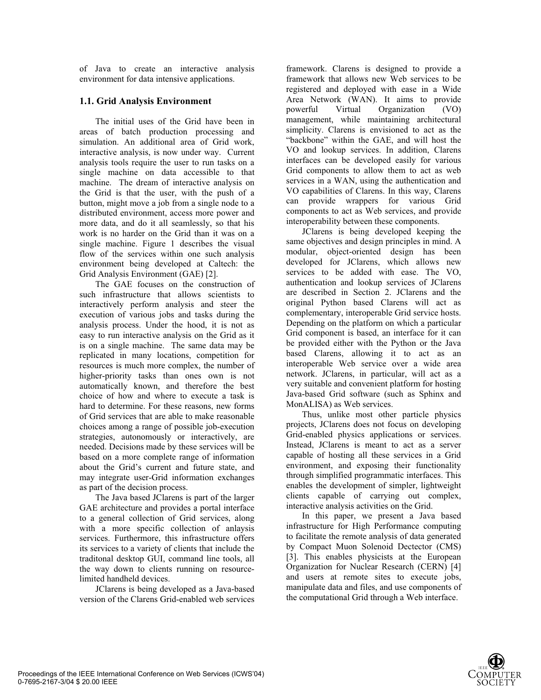of Java to create an interactive analysis environment for data intensive applications.

## **1.1. Grid Analysis Environment**

The initial uses of the Grid have been in areas of batch production processing and simulation. An additional area of Grid work, interactive analysis, is now under way. Current analysis tools require the user to run tasks on a single machine on data accessible to that machine. The dream of interactive analysis on the Grid is that the user, with the push of a button, might move a job from a single node to a distributed environment, access more power and more data, and do it all seamlessly, so that his work is no harder on the Grid than it was on a single machine. Figure 1 describes the visual flow of the services within one such analysis environment being developed at Caltech: the Grid Analysis Environment (GAE) [2].

The GAE focuses on the construction of such infrastructure that allows scientists to interactively perform analysis and steer the execution of various jobs and tasks during the analysis process. Under the hood, it is not as easy to run interactive analysis on the Grid as it is on a single machine. The same data may be replicated in many locations, competition for resources is much more complex, the number of higher-priority tasks than ones own is not automatically known, and therefore the best choice of how and where to execute a task is hard to determine. For these reasons, new forms of Grid services that are able to make reasonable choices among a range of possible job-execution strategies, autonomously or interactively, are needed. Decisions made by these services will be based on a more complete range of information about the Grid's current and future state, and may integrate user-Grid information exchanges as part of the decision process.

The Java based JClarens is part of the larger GAE architecture and provides a portal interface to a general collection of Grid services, along with a more specific collection of anlaysis services. Furthermore, this infrastructure offers its services to a variety of clients that include the traditonal desktop GUI, command line tools, all the way down to clients running on resourcelimited handheld devices.

JClarens is being developed as a Java-based version of the Clarens Grid-enabled web services framework. Clarens is designed to provide a framework that allows new Web services to be registered and deployed with ease in a Wide Area Network (WAN). It aims to provide powerful Virtual Organization (VO) management, while maintaining architectural simplicity. Clarens is envisioned to act as the "backbone" within the GAE, and will host the VO and lookup services. In addition, Clarens interfaces can be developed easily for various Grid components to allow them to act as web services in a WAN, using the authentication and VO capabilities of Clarens. In this way, Clarens can provide wrappers for various Grid components to act as Web services, and provide interoperability between these components.

JClarens is being developed keeping the same objectives and design principles in mind. A modular, object-oriented design has been developed for JClarens, which allows new services to be added with ease. The VO, authentication and lookup services of JClarens are described in Section 2. JClarens and the original Python based Clarens will act as complementary, interoperable Grid service hosts. Depending on the platform on which a particular Grid component is based, an interface for it can be provided either with the Python or the Java based Clarens, allowing it to act as an interoperable Web service over a wide area network. JClarens, in particular, will act as a very suitable and convenient platform for hosting Java-based Grid software (such as Sphinx and MonALISA) as Web services.

Thus, unlike most other particle physics projects, JClarens does not focus on developing Grid-enabled physics applications or services. Instead, JClarens is meant to act as a server capable of hosting all these services in a Grid environment, and exposing their functionality through simplified programmatic interfaces. This enables the development of simpler, lightweight clients capable of carrying out complex, interactive analysis activities on the Grid.

In this paper, we present a Java based infrastructure for High Performance computing to facilitate the remote analysis of data generated by Compact Muon Solenoid Dectector (CMS) [3]. This enables physicists at the European Organization for Nuclear Research (CERN) [4] and users at remote sites to execute jobs, manipulate data and files, and use components of the computational Grid through a Web interface.

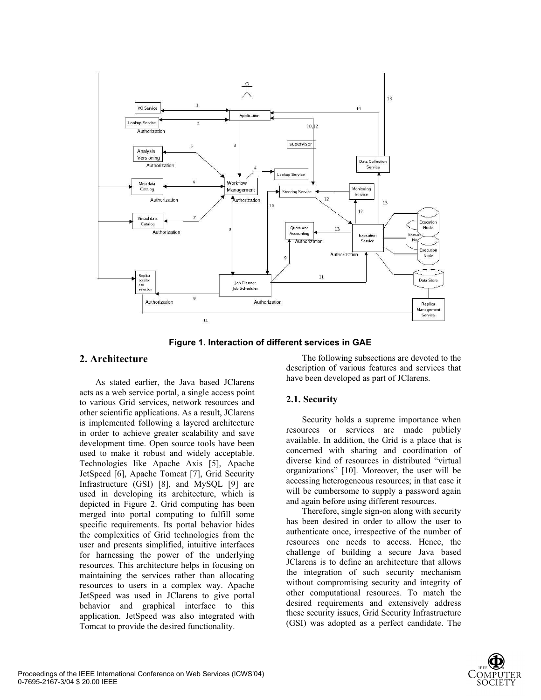

**Figure 1. Interaction of different services in GAE** 

## **2. Architecture**

As stated earlier, the Java based JClarens acts as a web service portal, a single access point to various Grid services, network resources and other scientific applications. As a result, JClarens is implemented following a layered architecture in order to achieve greater scalability and save development time. Open source tools have been used to make it robust and widely acceptable. Technologies like Apache Axis [5], Apache JetSpeed [6], Apache Tomcat [7], Grid Security Infrastructure (GSI) [8], and MySQL [9] are used in developing its architecture, which is depicted in Figure 2. Grid computing has been merged into portal computing to fulfill some specific requirements. Its portal behavior hides the complexities of Grid technologies from the user and presents simplified, intuitive interfaces for harnessing the power of the underlying resources. This architecture helps in focusing on maintaining the services rather than allocating resources to users in a complex way. Apache JetSpeed was used in JClarens to give portal behavior and graphical interface to this application. JetSpeed was also integrated with Tomcat to provide the desired functionality.

The following subsections are devoted to the description of various features and services that have been developed as part of JClarens.

## **2.1. Security**

Security holds a supreme importance when resources or services are made publicly available. In addition, the Grid is a place that is concerned with sharing and coordination of diverse kind of resources in distributed "virtual organizations" [10]. Moreover, the user will be accessing heterogeneous resources; in that case it will be cumbersome to supply a password again and again before using different resources.

Therefore, single sign-on along with security has been desired in order to allow the user to authenticate once, irrespective of the number of resources one needs to access. Hence, the challenge of building a secure Java based JClarens is to define an architecture that allows the integration of such security mechanism without compromising security and integrity of other computational resources. To match the desired requirements and extensively address these security issues, Grid Security Infrastructure (GSI) was adopted as a perfect candidate. The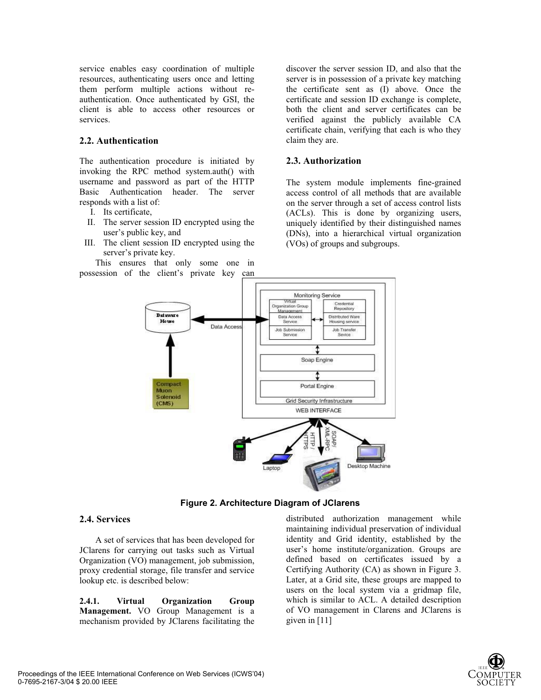service enables easy coordination of multiple resources, authenticating users once and letting them perform multiple actions without reauthentication. Once authenticated by GSI, the client is able to access other resources or services.

### **2.2. Authentication**

The authentication procedure is initiated by invoking the RPC method system.auth() with username and password as part of the HTTP Basic Authentication header. The server responds with a list of:

- I. Its certificate,
- II. The server session ID encrypted using the user's public key, and
- III. The client session ID encrypted using the server's private key.

This ensures that only some one in possession of the client's private key can discover the server session ID, and also that the server is in possession of a private key matching the certificate sent as (I) above. Once the certificate and session ID exchange is complete, both the client and server certificates can be verified against the publicly available CA certificate chain, verifying that each is who they claim they are.

### **2.3. Authorization**

The system module implements fine-grained access control of all methods that are available on the server through a set of access control lists (ACLs). This is done by organizing users, uniquely identified by their distinguished names (DNs), into a hierarchical virtual organization (VOs) of groups and subgroups.



**Figure 2. Architecture Diagram of JClarens** 

#### **2.4. Services**

A set of services that has been developed for JClarens for carrying out tasks such as Virtual Organization (VO) management, job submission, proxy credential storage, file transfer and service lookup etc. is described below:

**2.4.1. Virtual Organization Group Management.** VO Group Management is a mechanism provided by JClarens facilitating the distributed authorization management while maintaining individual preservation of individual identity and Grid identity, established by the user's home institute/organization. Groups are defined based on certificates issued by a Certifying Authority (CA) as shown in Figure 3. Later, at a Grid site, these groups are mapped to users on the local system via a gridmap file, which is similar to ACL. A detailed description of VO management in Clarens and JClarens is given in [11]

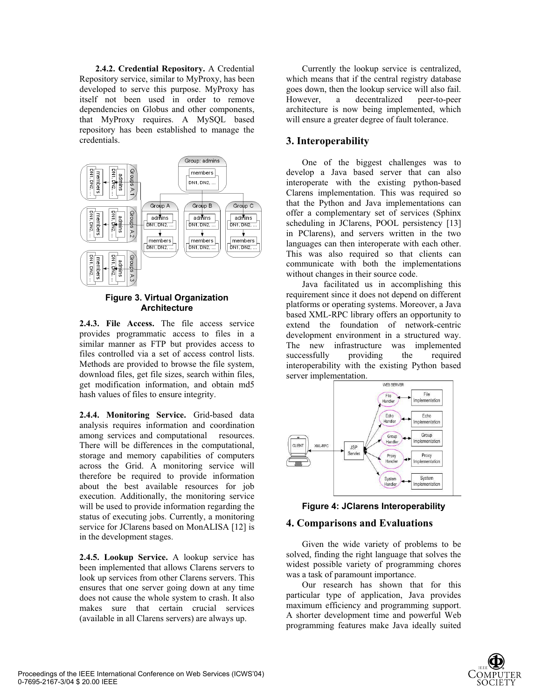**2.4.2. Credential Repository.** A Credential Repository service, similar to MyProxy, has been developed to serve this purpose. MyProxy has itself not been used in order to remove dependencies on Globus and other components, that MyProxy requires. A MySQL based repository has been established to manage the credentials.



#### **Figure 3. Virtual Organization Architecture**

**2.4.3. File Access.** The file access service provides programmatic access to files in a similar manner as FTP but provides access to files controlled via a set of access control lists. Methods are provided to browse the file system, download files, get file sizes, search within files, get modification information, and obtain md5 hash values of files to ensure integrity.

**2.4.4. Monitoring Service.** Grid-based data analysis requires information and coordination among services and computational resources. There will be differences in the computational, storage and memory capabilities of computers across the Grid. A monitoring service will therefore be required to provide information about the best available resources for job execution. Additionally, the monitoring service will be used to provide information regarding the status of executing jobs. Currently, a monitoring service for JClarens based on MonALISA [12] is in the development stages.

**2.4.5. Lookup Service.** A lookup service has been implemented that allows Clarens servers to look up services from other Clarens servers. This ensures that one server going down at any time does not cause the whole system to crash. It also makes sure that certain crucial services (available in all Clarens servers) are always up.

Currently the lookup service is centralized, which means that if the central registry database goes down, then the lookup service will also fail. However, a decentralized peer-to-peer architecture is now being implemented, which will ensure a greater degree of fault tolerance.

## **3. Interoperability**

One of the biggest challenges was to develop a Java based server that can also interoperate with the existing python-based Clarens implementation. This was required so that the Python and Java implementations can offer a complementary set of services (Sphinx scheduling in JClarens, POOL persistency [13] in PClarens), and servers written in the two languages can then interoperate with each other. This was also required so that clients can communicate with both the implementations without changes in their source code.

Java facilitated us in accomplishing this requirement since it does not depend on different platforms or operating systems. Moreover, a Java based XML-RPC library offers an opportunity to extend the foundation of network-centric development environment in a structured way. The new infrastructure was implemented successfully providing the required interoperability with the existing Python based server implementation.



## **Figure 4: JClarens Interoperability**

## **4. Comparisons and Evaluations**

Given the wide variety of problems to be solved, finding the right language that solves the widest possible variety of programming chores was a task of paramount importance.

Our research has shown that for this particular type of application, Java provides maximum efficiency and programming support. A shorter development time and powerful Web programming features make Java ideally suited

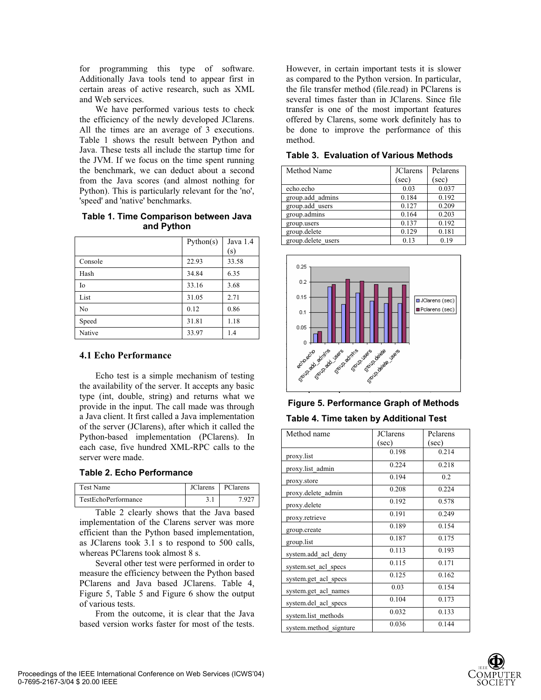for programming this type of software. Additionally Java tools tend to appear first in certain areas of active research, such as XML and Web services.

We have performed various tests to check the efficiency of the newly developed JClarens. All the times are an average of 3 executions. Table 1 shows the result between Python and Java. These tests all include the startup time for the JVM. If we focus on the time spent running the benchmark, we can deduct about a second from the Java scores (and almost nothing for Python). This is particularly relevant for the 'no', 'speed' and 'native' benchmarks.

**Table 1. Time Comparison between Java and Python** 

|                | Python(s) | Java 1.4<br>(s) |
|----------------|-----------|-----------------|
| Console        | 22.93     | 33.58           |
| Hash           | 34.84     | 6.35            |
| Io             | 33.16     | 3.68            |
| List           | 31.05     | 2.71            |
| N <sub>0</sub> | 0.12      | 0.86            |
| Speed          | 31.81     | 1.18            |
| Native         | 33.97     | 1.4             |

## **4.1 Echo Performance**

Echo test is a simple mechanism of testing the availability of the server. It accepts any basic type (int, double, string) and returns what we provide in the input. The call made was through a Java client. It first called a Java implementation of the server (JClarens), after which it called the Python-based implementation (PClarens). In each case, five hundred XML-RPC calls to the server were made.

#### **Table 2. Echo Performance**

| Test Name                  | JClarens | PClarens |
|----------------------------|----------|----------|
| <b>TestEchoPerformance</b> |          | 7.92.    |

Table 2 clearly shows that the Java based implementation of the Clarens server was more efficient than the Python based implementation, as JClarens took 3.1 s to respond to 500 calls, whereas PClarens took almost 8 s.

Several other test were performed in order to measure the efficiency between the Python based PClarens and Java based JClarens. Table 4, Figure 5, Table 5 and Figure 6 show the output of various tests.

From the outcome, it is clear that the Java based version works faster for most of the tests. However, in certain important tests it is slower as compared to the Python version. In particular, the file transfer method (file.read) in PClarens is several times faster than in JClarens. Since file transfer is one of the most important features offered by Clarens, some work definitely has to be done to improve the performance of this method.

| Method Name        | <b>JC</b> larens<br>(sec) | Pelarens<br>(sec) |
|--------------------|---------------------------|-------------------|
| echo.echo          | 0.03                      | 0.037             |
| group.add admins   | 0.184                     | 0.192             |
| group.add users    | 0.127                     | 0.209             |
| group.admins       | 0.164                     | 0.203             |
| group.users        | 0.137                     | 0.192             |
| group.delete       | 0.129                     | 0.181             |
| group.delete users | 0.13                      | 0.19              |

**Table 3. Evaluation of Various Methods** 



**Figure 5. Performance Graph of Methods Table 4. Time taken by Additional Test** 

| Method name            | <b>JClarens</b> | Pelarens |
|------------------------|-----------------|----------|
|                        | (sec)           | (sec)    |
| proxy.list             | 0.198           | 0.214    |
| proxy.list admin       | 0.224           | 0.218    |
| proxy.store            | 0.194           | 0.2      |
| proxy.delete_admin     | 0.208           | 0.224    |
| proxy.delete           | 0.192           | 0.578    |
| proxy.retrieve         | 0.191           | 0.249    |
| group.create           | 0.189           | 0.154    |
| group.list             | 0.187           | 0.175    |
| system.add acl deny    | 0.113           | 0.193    |
| system.set acl specs   | 0.115           | 0.171    |
| system.get acl specs   | 0.125           | 0.162    |
| system.get acl names   | 0.03            | 0.154    |
| system.del acl specs   | 0.104           | 0.173    |
| system.list methods    | 0.032           | 0.133    |
| system.method signture | 0.036           | 0.144    |

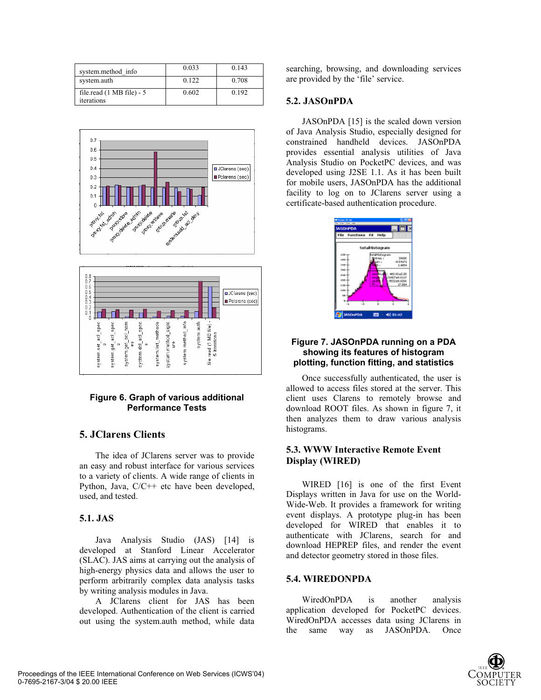| system.method info                                | 0.033 | 0.143 |
|---------------------------------------------------|-------|-------|
| system.auth                                       | 0.122 | 0.708 |
| file.read $(1 \text{ MB file}) - 5$<br>iterations | 0.602 | 0.192 |





### **Figure 6. Graph of various additional Performance Tests**

## **5. JClarens Clients**

The idea of JClarens server was to provide an easy and robust interface for various services to a variety of clients. A wide range of clients in Python, Java, C/C++ etc have been developed, used, and tested.

## **5.1. JAS**

Java Analysis Studio (JAS) [14] is developed at Stanford Linear Accelerator (SLAC). JAS aims at carrying out the analysis of high-energy physics data and allows the user to perform arbitrarily complex data analysis tasks by writing analysis modules in Java.

A JClarens client for JAS has been developed. Authentication of the client is carried out using the system.auth method, while data searching, browsing, and downloading services are provided by the 'file' service.

## **5.2. JASOnPDA**

JASOnPDA [15] is the scaled down version of Java Analysis Studio, especially designed for constrained handheld devices. JASOnPDA provides essential analysis utilities of Java Analysis Studio on PocketPC devices, and was developed using J2SE 1.1. As it has been built for mobile users, JASOnPDA has the additional facility to log on to JClarens server using a certificate-based authentication procedure.



#### **Figure 7. JASOnPDA running on a PDA showing its features of histogram plotting, function fitting, and statistics**

Once successfully authenticated, the user is allowed to access files stored at the server. This client uses Clarens to remotely browse and download ROOT files. As shown in figure 7, it then analyzes them to draw various analysis histograms.

## **5.3. WWW Interactive Remote Event Display (WIRED)**

WIRED [16] is one of the first Event Displays written in Java for use on the World-Wide-Web. It provides a framework for writing event displays. A prototype plug-in has been developed for WIRED that enables it to authenticate with JClarens, search for and download HEPREP files, and render the event and detector geometry stored in those files.

## **5.4. WIREDONPDA**

WiredOnPDA is another analysis application developed for PocketPC devices. WiredOnPDA accesses data using JClarens in the same way as JASOnPDA. Once